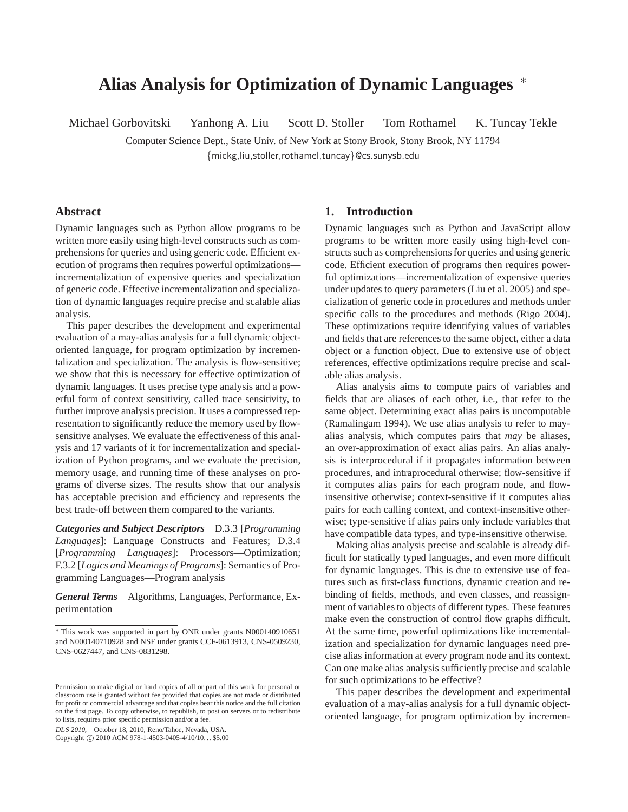# **Alias Analysis for Optimization of Dynamic Languages** <sup>∗</sup>

Michael Gorbovitski Yanhong A. Liu Scott D. Stoller Tom Rothamel K. Tuncay Tekle

Computer Science Dept., State Univ. of New York at Stony Brook, Stony Brook, NY 11794 {mickg,liu,stoller,rothamel,tuncay}@cs.sunysb.edu

# **Abstract**

Dynamic languages such as Python allow programs to be written more easily using high-level constructs such as comprehensions for queries and using generic code. Efficient execution of programs then requires powerful optimizations incrementalization of expensive queries and specialization of generic code. Effective incrementalization and specialization of dynamic languages require precise and scalable alias analysis.

This paper describes the development and experimental evaluation of a may-alias analysis for a full dynamic objectoriented language, for program optimization by incrementalization and specialization. The analysis is flow-sensitive; we show that this is necessary for effective optimization of dynamic languages. It uses precise type analysis and a powerful form of context sensitivity, called trace sensitivity, to further improve analysis precision. It uses a compressed representation to significantly reduce the memory used by flowsensitive analyses. We evaluate the effectiveness of this analysis and 17 variants of it for incrementalization and specialization of Python programs, and we evaluate the precision, memory usage, and running time of these analyses on programs of diverse sizes. The results show that our analysis has acceptable precision and efficiency and represents the best trade-off between them compared to the variants.

*Categories and Subject Descriptors* D.3.3 [*Programming Languages*]: Language Constructs and Features; D.3.4 [*Programming Languages*]: Processors—Optimization; F.3.2 [*Logics and Meanings of Programs*]: Semantics of Programming Languages—Program analysis

*General Terms* Algorithms, Languages, Performance, Experimentation

DLS 2010, October 18, 2010, Reno/Tahoe, Nevada, USA.

Copyright © 2010 ACM 978-1-4503-0405-4/10/10... \$5.00

## **1. Introduction**

Dynamic languages such as Python and JavaScript allow programs to be written more easily using high-level constructs such as comprehensions for queries and using generic code. Efficient execution of programs then requires powerful optimizations—incrementalization of expensive queries under updates to query parameters (Liu et al. 2005) and specialization of generic code in procedures and methods under specific calls to the procedures and methods (Rigo 2004). These optimizations require identifying values of variables and fields that are references to the same object, either a data object or a function object. Due to extensive use of object references, effective optimizations require precise and scalable alias analysis.

Alias analysis aims to compute pairs of variables and fields that are aliases of each other, i.e., that refer to the same object. Determining exact alias pairs is uncomputable (Ramalingam 1994). We use alias analysis to refer to mayalias analysis, which computes pairs that *may* be aliases, an over-approximation of exact alias pairs. An alias analysis is interprocedural if it propagates information between procedures, and intraprocedural otherwise; flow-sensitive if it computes alias pairs for each program node, and flowinsensitive otherwise; context-sensitive if it computes alias pairs for each calling context, and context-insensitive otherwise; type-sensitive if alias pairs only include variables that have compatible data types, and type-insensitive otherwise.

Making alias analysis precise and scalable is already difficult for statically typed languages, and even more difficult for dynamic languages. This is due to extensive use of features such as first-class functions, dynamic creation and rebinding of fields, methods, and even classes, and reassignment of variables to objects of different types. These features make even the construction of control flow graphs difficult. At the same time, powerful optimizations like incrementalization and specialization for dynamic languages need precise alias information at every program node and its context. Can one make alias analysis sufficiently precise and scalable for such optimizations to be effective?

This paper describes the development and experimental evaluation of a may-alias analysis for a full dynamic objectoriented language, for program optimization by incremen-

<sup>∗</sup> This work was supported in part by ONR under grants N000140910651 and N000140710928 and NSF under grants CCF-0613913, CNS-0509230, CNS-0627447, and CNS-0831298.

Permission to make digital or hard copies of all or part of this work for personal or classroom use is granted without fee provided that copies are not made or distributed for profit or commercial advantage and that copies bear this notice and the full citation on the first page. To copy otherwise, to republish, to post on servers or to redistribute to lists, requires prior specific permission and/or a fee.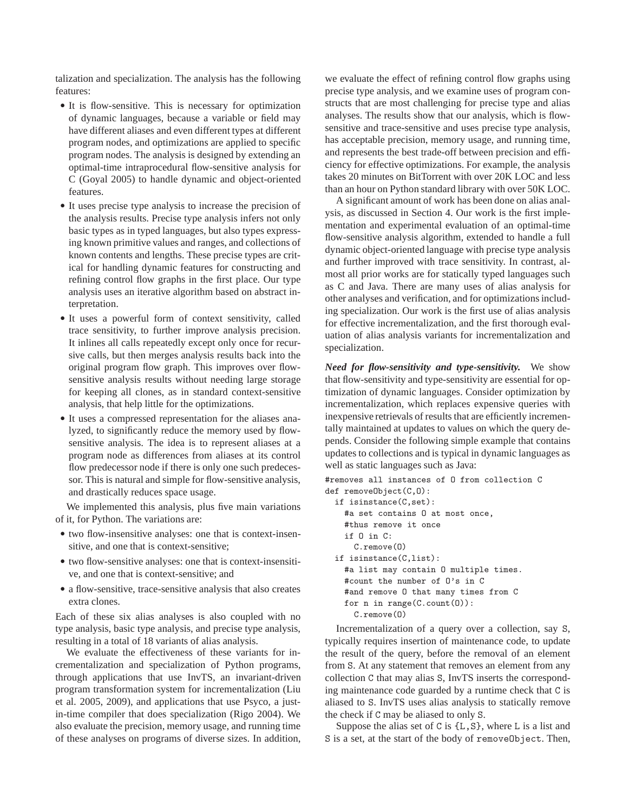talization and specialization. The analysis has the following features:

- It is flow-sensitive. This is necessary for optimization of dynamic languages, because a variable or field may have different aliases and even different types at different program nodes, and optimizations are applied to specific program nodes. The analysis is designed by extending an optimal-time intraprocedural flow-sensitive analysis for C (Goyal 2005) to handle dynamic and object-oriented features.
- It uses precise type analysis to increase the precision of the analysis results. Precise type analysis infers not only basic types as in typed languages, but also types expressing known primitive values and ranges, and collections of known contents and lengths. These precise types are critical for handling dynamic features for constructing and refining control flow graphs in the first place. Our type analysis uses an iterative algorithm based on abstract interpretation.
- It uses a powerful form of context sensitivity, called trace sensitivity, to further improve analysis precision. It inlines all calls repeatedly except only once for recursive calls, but then merges analysis results back into the original program flow graph. This improves over flowsensitive analysis results without needing large storage for keeping all clones, as in standard context-sensitive analysis, that help little for the optimizations.
- It uses a compressed representation for the aliases analyzed, to significantly reduce the memory used by flowsensitive analysis. The idea is to represent aliases at a program node as differences from aliases at its control flow predecessor node if there is only one such predecessor. This is natural and simple for flow-sensitive analysis, and drastically reduces space usage.

We implemented this analysis, plus five main variations of it, for Python. The variations are:

- two flow-insensitive analyses: one that is context-insensitive, and one that is context-sensitive;
- two flow-sensitive analyses: one that is context-insensitive, and one that is context-sensitive; and
- a flow-sensitive, trace-sensitive analysis that also creates extra clones.

Each of these six alias analyses is also coupled with no type analysis, basic type analysis, and precise type analysis, resulting in a total of 18 variants of alias analysis.

We evaluate the effectiveness of these variants for incrementalization and specialization of Python programs, through applications that use InvTS, an invariant-driven program transformation system for incrementalization (Liu et al. 2005, 2009), and applications that use Psyco, a justin-time compiler that does specialization (Rigo 2004). We also evaluate the precision, memory usage, and running time of these analyses on programs of diverse sizes. In addition,

we evaluate the effect of refining control flow graphs using precise type analysis, and we examine uses of program constructs that are most challenging for precise type and alias analyses. The results show that our analysis, which is flowsensitive and trace-sensitive and uses precise type analysis, has acceptable precision, memory usage, and running time, and represents the best trade-off between precision and efficiency for effective optimizations. For example, the analysis takes 20 minutes on BitTorrent with over 20K LOC and less than an hour on Python standard library with over 50K LOC.

A significant amount of work has been done on alias analysis, as discussed in Section 4. Our work is the first implementation and experimental evaluation of an optimal-time flow-sensitive analysis algorithm, extended to handle a full dynamic object-oriented language with precise type analysis and further improved with trace sensitivity. In contrast, almost all prior works are for statically typed languages such as C and Java. There are many uses of alias analysis for other analyses and verification, and for optimizations including specialization. Our work is the first use of alias analysis for effective incrementalization, and the first thorough evaluation of alias analysis variants for incrementalization and specialization.

*Need for flow-sensitivity and type-sensitivity.* We show that flow-sensitivity and type-sensitivity are essential for optimization of dynamic languages. Consider optimization by incrementalization, which replaces expensive queries with inexpensive retrievals of results that are efficiently incrementally maintained at updates to values on which the query depends. Consider the following simple example that contains updates to collections and is typical in dynamic languages as well as static languages such as Java:

```
#removes all instances of O from collection C
def removeObject(C,O):
```

```
if isinstance(C,set):
 #a set contains O at most once,
 #thus remove it once
 if O in C:
    C.remove(O)
if isinstance(C,list):
 #a list may contain O multiple times.
 #count the number of O's in C
 #and remove O that many times from C
 for n in range(C.count(0)):
   C.remove(O)
```
Incrementalization of a query over a collection, say S, typically requires insertion of maintenance code, to update the result of the query, before the removal of an element from S. At any statement that removes an element from any collection C that may alias S, InvTS inserts the corresponding maintenance code guarded by a runtime check that C is aliased to S. InvTS uses alias analysis to statically remove the check if C may be aliased to only S.

Suppose the alias set of C is {L,S}, where L is a list and S is a set, at the start of the body of removeObject. Then,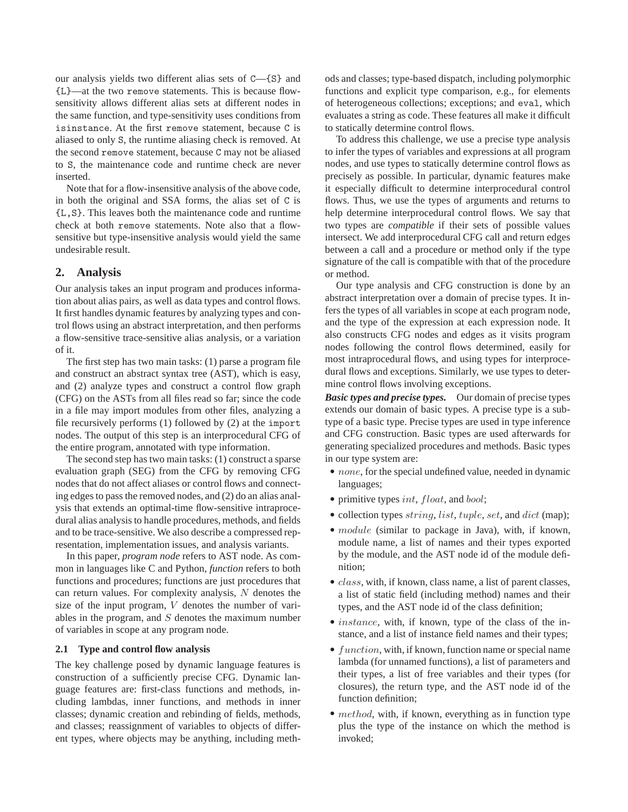our analysis yields two different alias sets of C—{S} and {L}—at the two remove statements. This is because flowsensitivity allows different alias sets at different nodes in the same function, and type-sensitivity uses conditions from isinstance. At the first remove statement, because C is aliased to only S, the runtime aliasing check is removed. At the second remove statement, because C may not be aliased to S, the maintenance code and runtime check are never inserted.

Note that for a flow-insensitive analysis of the above code, in both the original and SSA forms, the alias set of C is {L,S}. This leaves both the maintenance code and runtime check at both remove statements. Note also that a flowsensitive but type-insensitive analysis would yield the same undesirable result.

# **2. Analysis**

Our analysis takes an input program and produces information about alias pairs, as well as data types and control flows. It first handles dynamic features by analyzing types and control flows using an abstract interpretation, and then performs a flow-sensitive trace-sensitive alias analysis, or a variation of it.

The first step has two main tasks: (1) parse a program file and construct an abstract syntax tree (AST), which is easy, and (2) analyze types and construct a control flow graph (CFG) on the ASTs from all files read so far; since the code in a file may import modules from other files, analyzing a file recursively performs (1) followed by (2) at the import nodes. The output of this step is an interprocedural CFG of the entire program, annotated with type information.

The second step has two main tasks: (1) construct a sparse evaluation graph (SEG) from the CFG by removing CFG nodes that do not affect aliases or control flows and connecting edges to pass the removed nodes, and (2) do an alias analysis that extends an optimal-time flow-sensitive intraprocedural alias analysis to handle procedures, methods, and fields and to be trace-sensitive. We also describe a compressed representation, implementation issues, and analysis variants.

In this paper, *program node* refers to AST node. As common in languages like C and Python, *function* refers to both functions and procedures; functions are just procedures that can return values. For complexity analysis,  $N$  denotes the size of the input program, V denotes the number of variables in the program, and  $S$  denotes the maximum number of variables in scope at any program node.

#### **2.1 Type and control flow analysis**

The key challenge posed by dynamic language features is construction of a sufficiently precise CFG. Dynamic language features are: first-class functions and methods, including lambdas, inner functions, and methods in inner classes; dynamic creation and rebinding of fields, methods, and classes; reassignment of variables to objects of different types, where objects may be anything, including meth-

ods and classes; type-based dispatch, including polymorphic functions and explicit type comparison, e.g., for elements of heterogeneous collections; exceptions; and eval, which evaluates a string as code. These features all make it difficult to statically determine control flows.

To address this challenge, we use a precise type analysis to infer the types of variables and expressions at all program nodes, and use types to statically determine control flows as precisely as possible. In particular, dynamic features make it especially difficult to determine interprocedural control flows. Thus, we use the types of arguments and returns to help determine interprocedural control flows. We say that two types are *compatible* if their sets of possible values intersect. We add interprocedural CFG call and return edges between a call and a procedure or method only if the type signature of the call is compatible with that of the procedure or method.

Our type analysis and CFG construction is done by an abstract interpretation over a domain of precise types. It infers the types of all variables in scope at each program node, and the type of the expression at each expression node. It also constructs CFG nodes and edges as it visits program nodes following the control flows determined, easily for most intraprocedural flows, and using types for interprocedural flows and exceptions. Similarly, we use types to determine control flows involving exceptions.

*Basic types and precise types.* Our domain of precise types extends our domain of basic types. A precise type is a subtype of a basic type. Precise types are used in type inference and CFG construction. Basic types are used afterwards for generating specialized procedures and methods. Basic types in our type system are:

- none, for the special undefined value, needed in dynamic languages;
- primitive types *int*, *float*, and *bool*;
- collection types  $string$ , *list*,  $tuple$ ,  $set$ , and  $dict$  (map);
- module (similar to package in Java), with, if known, module name, a list of names and their types exported by the module, and the AST node id of the module definition;
- *class*, with, if known, class name, a list of parent classes, a list of static field (including method) names and their types, and the AST node id of the class definition;
- *instance*, with, if known, type of the class of the instance, and a list of instance field names and their types;
- $function$ , with, if known, function name or special name lambda (for unnamed functions), a list of parameters and their types, a list of free variables and their types (for closures), the return type, and the AST node id of the function definition;
- method, with, if known, everything as in function type plus the type of the instance on which the method is invoked;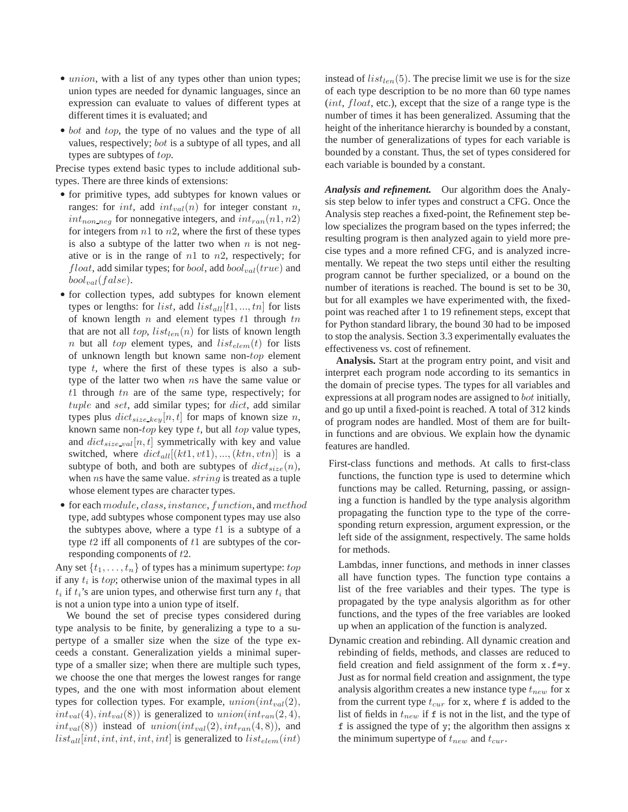- union, with a list of any types other than union types; union types are needed for dynamic languages, since an expression can evaluate to values of different types at different times it is evaluated; and
- bot and top, the type of no values and the type of all values, respectively; bot is a subtype of all types, and all types are subtypes of *top*.

Precise types extend basic types to include additional subtypes. There are three kinds of extensions:

- for primitive types, add subtypes for known values or ranges: for int, add  $int_{val}(n)$  for integer constant n,  $int_{nonneg}$  for nonnegative integers, and  $int_{ran}(n1, n2)$ for integers from  $n1$  to  $n2$ , where the first of these types is also a subtype of the latter two when  $n$  is not negative or is in the range of  $n1$  to  $n2$ , respectively; for *float*, add similar types; for *bool*, add  $bool_{val}(true)$  and  $bool_{val}(false).$
- for collection types, add subtypes for known element types or lengths: for *list*, add  $list_{all}[t1, ..., tn]$  for lists of known length  $n$  and element types  $t_1$  through  $tn$ that are not all  $top$ ,  $list_{len}(n)$  for lists of known length *n* but all *top* element types, and  $list_{elem}(t)$  for lists of unknown length but known same non-top element type  $t$ , where the first of these types is also a subtype of the latter two when ns have the same value or  $t1$  through  $tn$  are of the same type, respectively; for tuple and set, add similar types; for dict, add similar types plus  $dict_{size\_key}[n, t]$  for maps of known size n, known same non-top key type  $t$ , but all top value types, and  $dict_{size\_val}[n, t]$  symmetrically with key and value switched, where  $dict_{all}[(kt1, vt1), ..., (ktn, vtn)]$  is a subtype of both, and both are subtypes of  $dict_{size}(n)$ , when ns have the same value. *string* is treated as a tuple whose element types are character types.
- for each module, class, instance, function, and method type, add subtypes whose component types may use also the subtypes above, where a type  $t1$  is a subtype of a type  $t2$  iff all components of  $t1$  are subtypes of the corresponding components of  $t2$ .

Any set  $\{t_1, \ldots, t_n\}$  of types has a minimum supertype: top if any  $t_i$  is top; otherwise union of the maximal types in all  $t_i$  if  $t_i$ 's are union types, and otherwise first turn any  $t_i$  that is not a union type into a union type of itself.

We bound the set of precise types considered during type analysis to be finite, by generalizing a type to a supertype of a smaller size when the size of the type exceeds a constant. Generalization yields a minimal supertype of a smaller size; when there are multiple such types, we choose the one that merges the lowest ranges for range types, and the one with most information about element types for collection types. For example,  $union(int_{val}(2),$  $int_{val}(4)$ ,  $int_{val}(8)$  is generalized to  $union(int_{ran}(2, 4),$  $int_{val}(8)$  instead of  $union(int_{val}(2), int_{ran}(4, 8))$ , and  $list_{all}[int, int, int, int, int]$  is generalized to  $list_{elem}(int)$  instead of  $list_{len}(5)$ . The precise limit we use is for the size of each type description to be no more than 60 type names (*int*, *float*, etc.), except that the size of a range type is the number of times it has been generalized. Assuming that the height of the inheritance hierarchy is bounded by a constant, the number of generalizations of types for each variable is bounded by a constant. Thus, the set of types considered for each variable is bounded by a constant.

*Analysis and refinement.* Our algorithm does the Analysis step below to infer types and construct a CFG. Once the Analysis step reaches a fixed-point, the Refinement step below specializes the program based on the types inferred; the resulting program is then analyzed again to yield more precise types and a more refined CFG, and is analyzed incrementally. We repeat the two steps until either the resulting program cannot be further specialized, or a bound on the number of iterations is reached. The bound is set to be 30, but for all examples we have experimented with, the fixedpoint was reached after 1 to 19 refinement steps, except that for Python standard library, the bound 30 had to be imposed to stop the analysis. Section 3.3 experimentally evaluates the effectiveness vs. cost of refinement.

**Analysis.** Start at the program entry point, and visit and interpret each program node according to its semantics in the domain of precise types. The types for all variables and expressions at all program nodes are assigned to bot initially, and go up until a fixed-point is reached. A total of 312 kinds of program nodes are handled. Most of them are for builtin functions and are obvious. We explain how the dynamic features are handled.

First-class functions and methods. At calls to first-class functions, the function type is used to determine which functions may be called. Returning, passing, or assigning a function is handled by the type analysis algorithm propagating the function type to the type of the corresponding return expression, argument expression, or the left side of the assignment, respectively. The same holds for methods.

Lambdas, inner functions, and methods in inner classes all have function types. The function type contains a list of the free variables and their types. The type is propagated by the type analysis algorithm as for other functions, and the types of the free variables are looked up when an application of the function is analyzed.

Dynamic creation and rebinding. All dynamic creation and rebinding of fields, methods, and classes are reduced to field creation and field assignment of the form  $x.f=y$ . Just as for normal field creation and assignment, the type analysis algorithm creates a new instance type  $t_{new}$  for x from the current type  $t_{cur}$  for x, where f is added to the list of fields in  $t_{new}$  if f is not in the list, and the type of f is assigned the type of y; the algorithm then assigns x the minimum supertype of  $t_{new}$  and  $t_{cur}$ .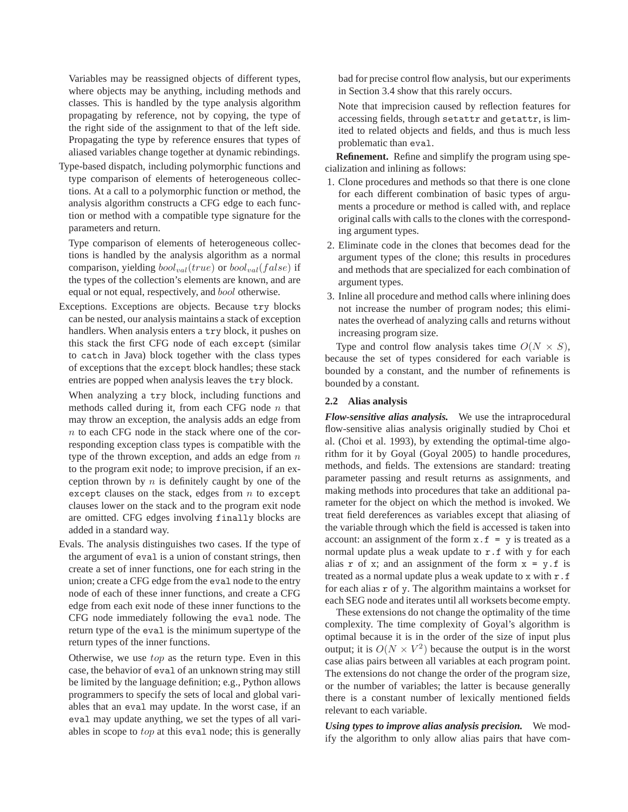Variables may be reassigned objects of different types, where objects may be anything, including methods and classes. This is handled by the type analysis algorithm propagating by reference, not by copying, the type of the right side of the assignment to that of the left side. Propagating the type by reference ensures that types of aliased variables change together at dynamic rebindings.

Type-based dispatch, including polymorphic functions and type comparison of elements of heterogeneous collections. At a call to a polymorphic function or method, the analysis algorithm constructs a CFG edge to each function or method with a compatible type signature for the parameters and return.

Type comparison of elements of heterogeneous collections is handled by the analysis algorithm as a normal comparison, yielding  $bool_{val}(true)$  or  $bool_{val}(false)$  if the types of the collection's elements are known, and are equal or not equal, respectively, and bool otherwise.

Exceptions. Exceptions are objects. Because try blocks can be nested, our analysis maintains a stack of exception handlers. When analysis enters a try block, it pushes on this stack the first CFG node of each except (similar to catch in Java) block together with the class types of exceptions that the except block handles; these stack entries are popped when analysis leaves the try block.

When analyzing a try block, including functions and methods called during it, from each CFG node  $n$  that may throw an exception, the analysis adds an edge from n to each CFG node in the stack where one of the corresponding exception class types is compatible with the type of the thrown exception, and adds an edge from  $n$ to the program exit node; to improve precision, if an exception thrown by  $n$  is definitely caught by one of the except clauses on the stack, edges from  $n$  to except clauses lower on the stack and to the program exit node are omitted. CFG edges involving finally blocks are added in a standard way.

Evals. The analysis distinguishes two cases. If the type of the argument of eval is a union of constant strings, then create a set of inner functions, one for each string in the union; create a CFG edge from the eval node to the entry node of each of these inner functions, and create a CFG edge from each exit node of these inner functions to the CFG node immediately following the eval node. The return type of the eval is the minimum supertype of the return types of the inner functions.

Otherwise, we use top as the return type. Even in this case, the behavior of eval of an unknown string may still be limited by the language definition; e.g., Python allows programmers to specify the sets of local and global variables that an eval may update. In the worst case, if an eval may update anything, we set the types of all variables in scope to *top* at this eval node; this is generally

bad for precise control flow analysis, but our experiments in Section 3.4 show that this rarely occurs.

Note that imprecision caused by reflection features for accessing fields, through setattr and getattr, is limited to related objects and fields, and thus is much less problematic than eval.

**Refinement.** Refine and simplify the program using specialization and inlining as follows:

- 1. Clone procedures and methods so that there is one clone for each different combination of basic types of arguments a procedure or method is called with, and replace original calls with calls to the clones with the corresponding argument types.
- 2. Eliminate code in the clones that becomes dead for the argument types of the clone; this results in procedures and methods that are specialized for each combination of argument types.
- 3. Inline all procedure and method calls where inlining does not increase the number of program nodes; this eliminates the overhead of analyzing calls and returns without increasing program size.

Type and control flow analysis takes time  $O(N \times S)$ , because the set of types considered for each variable is bounded by a constant, and the number of refinements is bounded by a constant.

## **2.2 Alias analysis**

*Flow-sensitive alias analysis.* We use the intraprocedural flow-sensitive alias analysis originally studied by Choi et al. (Choi et al. 1993), by extending the optimal-time algorithm for it by Goyal (Goyal 2005) to handle procedures, methods, and fields. The extensions are standard: treating parameter passing and result returns as assignments, and making methods into procedures that take an additional parameter for the object on which the method is invoked. We treat field dereferences as variables except that aliasing of the variable through which the field is accessed is taken into account: an assignment of the form  $x.f = y$  is treated as a normal update plus a weak update to r.f with y for each alias  $r$  of  $x$ ; and an assignment of the form  $x = y \cdot f$  is treated as a normal update plus a weak update to x with r.f for each alias r of y. The algorithm maintains a workset for each SEG node and iterates until all worksets become empty.

These extensions do not change the optimality of the time complexity. The time complexity of Goyal's algorithm is optimal because it is in the order of the size of input plus output; it is  $O(N \times V^2)$  because the output is in the worst case alias pairs between all variables at each program point. The extensions do not change the order of the program size, or the number of variables; the latter is because generally there is a constant number of lexically mentioned fields relevant to each variable.

*Using types to improve alias analysis precision.* We modify the algorithm to only allow alias pairs that have com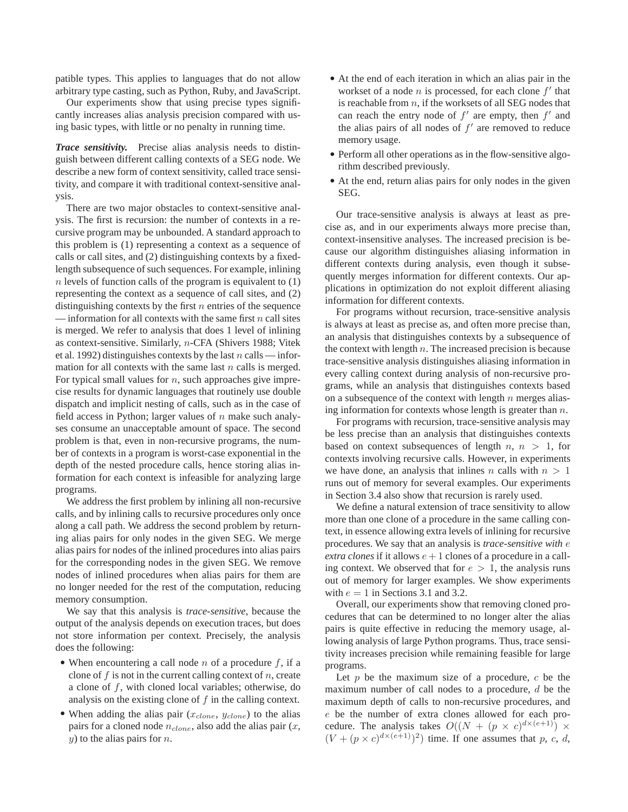patible types. This applies to languages that do not allow arbitrary type casting, such as Python, Ruby, and JavaScript.

Our experiments show that using precise types significantly increases alias analysis precision compared with using basic types, with little or no penalty in running time.

*Trace sensitivity.* Precise alias analysis needs to distinguish between different calling contexts of a SEG node. We describe a new form of context sensitivity, called trace sensitivity, and compare it with traditional context-sensitive analysis.

There are two major obstacles to context-sensitive analysis. The first is recursion: the number of contexts in a recursive program may be unbounded. A standard approach to this problem is (1) representing a context as a sequence of calls or call sites, and (2) distinguishing contexts by a fixedlength subsequence of such sequences. For example, inlining  $n$  levels of function calls of the program is equivalent to  $(1)$ representing the context as a sequence of call sites, and (2) distinguishing contexts by the first  $n$  entries of the sequence — information for all contexts with the same first  $n$  call sites is merged. We refer to analysis that does 1 level of inlining as context-sensitive. Similarly, n-CFA (Shivers 1988; Vitek et al. 1992) distinguishes contexts by the last  $n$  calls — information for all contexts with the same last  $n$  calls is merged. For typical small values for  $n$ , such approaches give imprecise results for dynamic languages that routinely use double dispatch and implicit nesting of calls, such as in the case of field access in Python; larger values of  $n$  make such analyses consume an unacceptable amount of space. The second problem is that, even in non-recursive programs, the number of contexts in a program is worst-case exponential in the depth of the nested procedure calls, hence storing alias information for each context is infeasible for analyzing large programs.

We address the first problem by inlining all non-recursive calls, and by inlining calls to recursive procedures only once along a call path. We address the second problem by returning alias pairs for only nodes in the given SEG. We merge alias pairs for nodes of the inlined procedures into alias pairs for the corresponding nodes in the given SEG. We remove nodes of inlined procedures when alias pairs for them are no longer needed for the rest of the computation, reducing memory consumption.

We say that this analysis is *trace-sensitive*, because the output of the analysis depends on execution traces, but does not store information per context. Precisely, the analysis does the following:

- When encountering a call node  $n$  of a procedure  $f$ , if a clone of  $f$  is not in the current calling context of  $n$ , create a clone of  $f$ , with cloned local variables; otherwise, do analysis on the existing clone of  $f$  in the calling context.
- When adding the alias pair  $(x_{clone}, y_{clone})$  to the alias pairs for a cloned node  $n_{clone}$ , also add the alias pair  $(x,$  $y$ ) to the alias pairs for  $n$ .
- At the end of each iteration in which an alias pair in the workset of a node  $n$  is processed, for each clone  $f'$  that is reachable from  $n$ , if the worksets of all SEG nodes that can reach the entry node of  $f'$  are empty, then  $f'$  and the alias pairs of all nodes of  $f'$  are removed to reduce memory usage.
- Perform all other operations as in the flow-sensitive algorithm described previously.
- At the end, return alias pairs for only nodes in the given SEG.

Our trace-sensitive analysis is always at least as precise as, and in our experiments always more precise than, context-insensitive analyses. The increased precision is because our algorithm distinguishes aliasing information in different contexts during analysis, even though it subsequently merges information for different contexts. Our applications in optimization do not exploit different aliasing information for different contexts.

For programs without recursion, trace-sensitive analysis is always at least as precise as, and often more precise than, an analysis that distinguishes contexts by a subsequence of the context with length  $n$ . The increased precision is because trace-sensitive analysis distinguishes aliasing information in every calling context during analysis of non-recursive programs, while an analysis that distinguishes contexts based on a subsequence of the context with length  $n$  merges aliasing information for contexts whose length is greater than  $n$ .

For programs with recursion, trace-sensitive analysis may be less precise than an analysis that distinguishes contexts based on context subsequences of length  $n, n > 1$ , for contexts involving recursive calls. However, in experiments we have done, an analysis that inlines n calls with  $n > 1$ runs out of memory for several examples. Our experiments in Section 3.4 also show that recursion is rarely used.

We define a natural extension of trace sensitivity to allow more than one clone of a procedure in the same calling context, in essence allowing extra levels of inlining for recursive procedures. We say that an analysis is *trace-sensitive with* e *extra clones* if it allows  $e + 1$  clones of a procedure in a calling context. We observed that for  $e > 1$ , the analysis runs out of memory for larger examples. We show experiments with  $e = 1$  in Sections 3.1 and 3.2.

Overall, our experiments show that removing cloned procedures that can be determined to no longer alter the alias pairs is quite effective in reducing the memory usage, allowing analysis of large Python programs. Thus, trace sensitivity increases precision while remaining feasible for large programs.

Let  $p$  be the maximum size of a procedure,  $c$  be the maximum number of call nodes to a procedure, d be the maximum depth of calls to non-recursive procedures, and e be the number of extra clones allowed for each procedure. The analysis takes  $O((N + (p \times c)^{d \times (e+1)}) \times$  $(V + (p \times c)^{d \times (e+1)})^2$  time. If one assumes that p, c, d,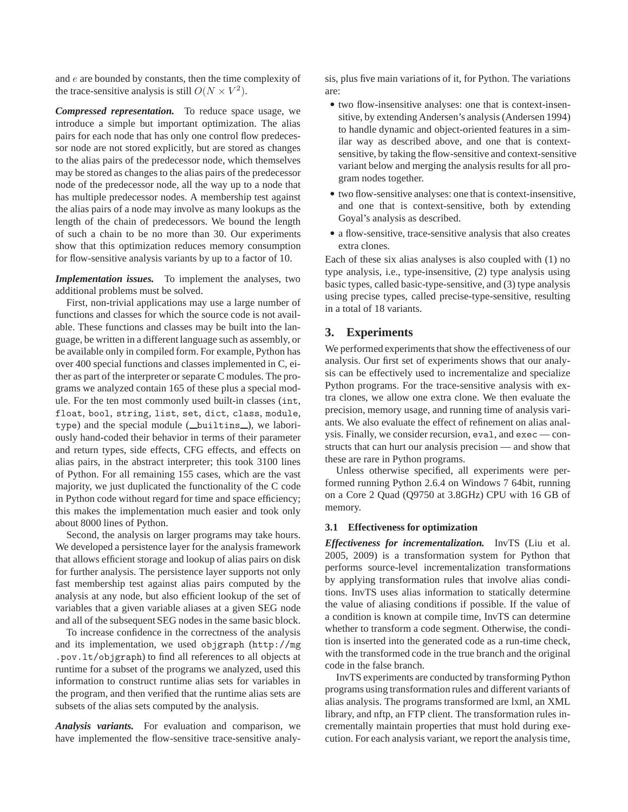and e are bounded by constants, then the time complexity of the trace-sensitive analysis is still  $O(N \times V^2)$ .

*Compressed representation.* To reduce space usage, we introduce a simple but important optimization. The alias pairs for each node that has only one control flow predecessor node are not stored explicitly, but are stored as changes to the alias pairs of the predecessor node, which themselves may be stored as changes to the alias pairs of the predecessor node of the predecessor node, all the way up to a node that has multiple predecessor nodes. A membership test against the alias pairs of a node may involve as many lookups as the length of the chain of predecessors. We bound the length of such a chain to be no more than 30. Our experiments show that this optimization reduces memory consumption for flow-sensitive analysis variants by up to a factor of 10.

*Implementation issues.* To implement the analyses, two additional problems must be solved.

First, non-trivial applications may use a large number of functions and classes for which the source code is not available. These functions and classes may be built into the language, be written in a different language such as assembly, or be available only in compiled form. For example, Python has over 400 special functions and classes implemented in C, either as part of the interpreter or separate C modules. The programs we analyzed contain 165 of these plus a special module. For the ten most commonly used built-in classes (int, float, bool, string, list, set, dict, class, module, type) and the special module  $(\_\_$ uiltins $\_\)$ , we laboriously hand-coded their behavior in terms of their parameter and return types, side effects, CFG effects, and effects on alias pairs, in the abstract interpreter; this took 3100 lines of Python. For all remaining 155 cases, which are the vast majority, we just duplicated the functionality of the C code in Python code without regard for time and space efficiency; this makes the implementation much easier and took only about 8000 lines of Python.

Second, the analysis on larger programs may take hours. We developed a persistence layer for the analysis framework that allows efficient storage and lookup of alias pairs on disk for further analysis. The persistence layer supports not only fast membership test against alias pairs computed by the analysis at any node, but also efficient lookup of the set of variables that a given variable aliases at a given SEG node and all of the subsequent SEG nodes in the same basic block.

To increase confidence in the correctness of the analysis and its implementation, we used objgraph (http://mg .pov.lt/objgraph) to find all references to all objects at runtime for a subset of the programs we analyzed, used this information to construct runtime alias sets for variables in the program, and then verified that the runtime alias sets are subsets of the alias sets computed by the analysis.

*Analysis variants.* For evaluation and comparison, we have implemented the flow-sensitive trace-sensitive analy-

sis, plus five main variations of it, for Python. The variations are:

- two flow-insensitive analyses: one that is context-insensitive, by extending Andersen's analysis (Andersen 1994) to handle dynamic and object-oriented features in a similar way as described above, and one that is contextsensitive, by taking the flow-sensitive and context-sensitive variant below and merging the analysis results for all program nodes together.
- two flow-sensitive analyses: one that is context-insensitive, and one that is context-sensitive, both by extending Goyal's analysis as described.
- a flow-sensitive, trace-sensitive analysis that also creates extra clones.

Each of these six alias analyses is also coupled with (1) no type analysis, i.e., type-insensitive, (2) type analysis using basic types, called basic-type-sensitive, and (3) type analysis using precise types, called precise-type-sensitive, resulting in a total of 18 variants.

# **3. Experiments**

We performed experiments that show the effectiveness of our analysis. Our first set of experiments shows that our analysis can be effectively used to incrementalize and specialize Python programs. For the trace-sensitive analysis with extra clones, we allow one extra clone. We then evaluate the precision, memory usage, and running time of analysis variants. We also evaluate the effect of refinement on alias analysis. Finally, we consider recursion, eval, and exec — constructs that can hurt our analysis precision — and show that these are rare in Python programs.

Unless otherwise specified, all experiments were performed running Python 2.6.4 on Windows 7 64bit, running on a Core 2 Quad (Q9750 at 3.8GHz) CPU with 16 GB of memory.

#### **3.1 Effectiveness for optimization**

*Effectiveness for incrementalization.* InvTS (Liu et al. 2005, 2009) is a transformation system for Python that performs source-level incrementalization transformations by applying transformation rules that involve alias conditions. InvTS uses alias information to statically determine the value of aliasing conditions if possible. If the value of a condition is known at compile time, InvTS can determine whether to transform a code segment. Otherwise, the condition is inserted into the generated code as a run-time check, with the transformed code in the true branch and the original code in the false branch.

InvTS experiments are conducted by transforming Python programs using transformation rules and different variants of alias analysis. The programs transformed are lxml, an XML library, and nftp, an FTP client. The transformation rules incrementally maintain properties that must hold during execution. For each analysis variant, we report the analysis time,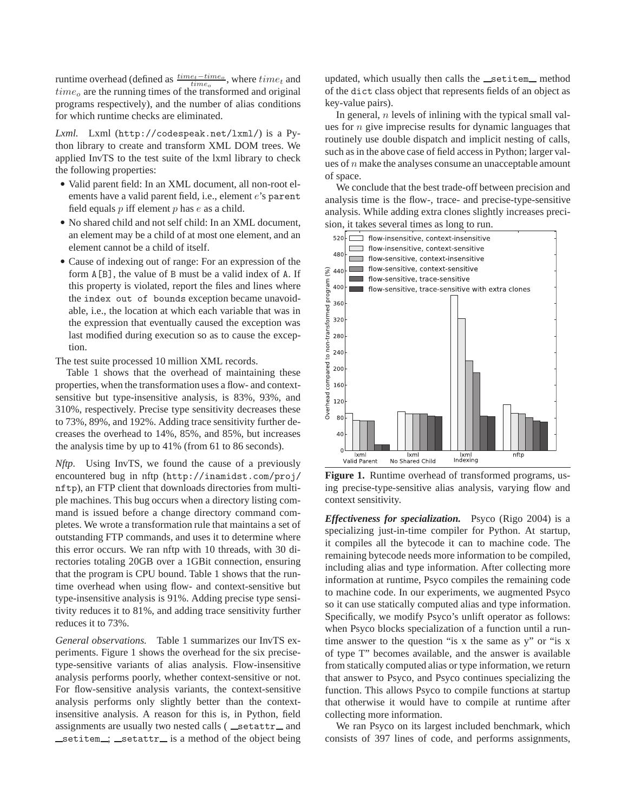runtime overhead (defined as  $\frac{time_t - time_o}{time_o}$ , where  $time_t$  and  $time<sub>o</sub>$  are the running times of the transformed and original programs respectively), and the number of alias conditions for which runtime checks are eliminated.

*Lxml.* Lxml (http://codespeak.net/lxml/) is a Python library to create and transform XML DOM trees. We applied InvTS to the test suite of the lxml library to check the following properties:

- Valid parent field: In an XML document, all non-root elements have a valid parent field, i.e., element e's parent field equals  $p$  iff element  $p$  has  $e$  as a child.
- No shared child and not self child: In an XML document, an element may be a child of at most one element, and an element cannot be a child of itself.
- Cause of indexing out of range: For an expression of the form A[B], the value of B must be a valid index of A. If this property is violated, report the files and lines where the index out of bounds exception became unavoidable, i.e., the location at which each variable that was in the expression that eventually caused the exception was last modified during execution so as to cause the exception.

The test suite processed 10 million XML records.

Table 1 shows that the overhead of maintaining these properties, when the transformation uses a flow- and contextsensitive but type-insensitive analysis, is 83%, 93%, and 310%, respectively. Precise type sensitivity decreases these to 73%, 89%, and 192%. Adding trace sensitivity further decreases the overhead to 14%, 85%, and 85%, but increases the analysis time by up to 41% (from 61 to 86 seconds).

*Nftp.* Using InvTS, we found the cause of a previously encountered bug in nftp (http://inamidst.com/proj/ nftp), an FTP client that downloads directories from multiple machines. This bug occurs when a directory listing command is issued before a change directory command completes. We wrote a transformation rule that maintains a set of outstanding FTP commands, and uses it to determine where this error occurs. We ran nftp with 10 threads, with 30 directories totaling 20GB over a 1GBit connection, ensuring that the program is CPU bound. Table 1 shows that the runtime overhead when using flow- and context-sensitive but type-insensitive analysis is 91%. Adding precise type sensitivity reduces it to 81%, and adding trace sensitivity further reduces it to 73%.

*General observations.* Table 1 summarizes our InvTS experiments. Figure 1 shows the overhead for the six precisetype-sensitive variants of alias analysis. Flow-insensitive analysis performs poorly, whether context-sensitive or not. For flow-sensitive analysis variants, the context-sensitive analysis performs only slightly better than the contextinsensitive analysis. A reason for this is, in Python, field assignments are usually two nested calls ( \_setattr\_ and  $s$  setitem ; setattr is a method of the object being updated, which usually then calls the setitem method of the dict class object that represents fields of an object as key-value pairs).

In general,  $n$  levels of inlining with the typical small values for n give imprecise results for dynamic languages that routinely use double dispatch and implicit nesting of calls, such as in the above case of field access in Python; larger values of  $n$  make the analyses consume an unacceptable amount of space.

We conclude that the best trade-off between precision and analysis time is the flow-, trace- and precise-type-sensitive analysis. While adding extra clones slightly increases precision, it takes several times as long to run.



**Figure 1.** Runtime overhead of transformed programs, using precise-type-sensitive alias analysis, varying flow and context sensitivity.

*Effectiveness for specialization.* Psyco (Rigo 2004) is a specializing just-in-time compiler for Python. At startup, it compiles all the bytecode it can to machine code. The remaining bytecode needs more information to be compiled, including alias and type information. After collecting more information at runtime, Psyco compiles the remaining code to machine code. In our experiments, we augmented Psyco so it can use statically computed alias and type information. Specifically, we modify Psyco's unlift operator as follows: when Psyco blocks specialization of a function until a runtime answer to the question "is x the same as y" or "is x of type T" becomes available, and the answer is available from statically computed alias or type information, we return that answer to Psyco, and Psyco continues specializing the function. This allows Psyco to compile functions at startup that otherwise it would have to compile at runtime after collecting more information.

We ran Psyco on its largest included benchmark, which consists of 397 lines of code, and performs assignments,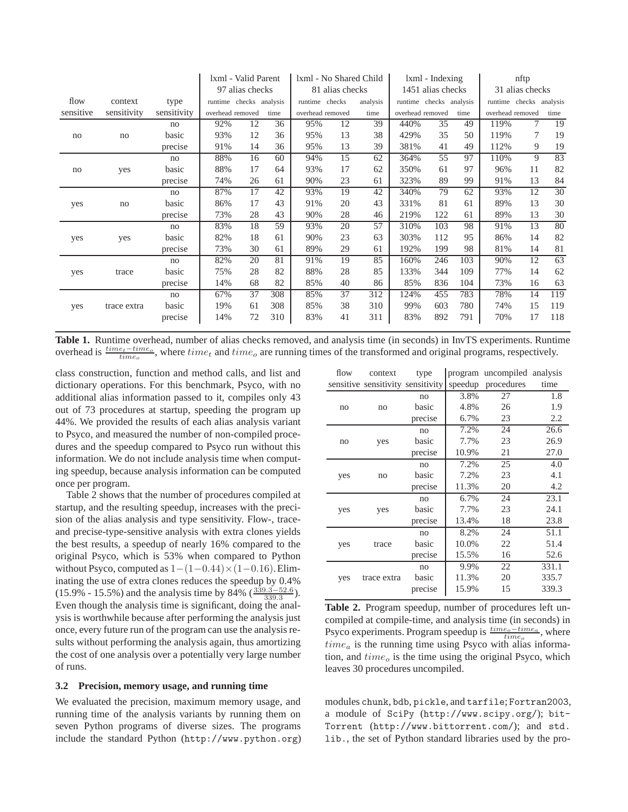|           |             |             | 1xml - Valid Parent     |                 | lxml - No Shared Child |                  |                 | lxml - Indexing |                         |                   | nftp |                         |                 |      |
|-----------|-------------|-------------|-------------------------|-----------------|------------------------|------------------|-----------------|-----------------|-------------------------|-------------------|------|-------------------------|-----------------|------|
|           |             |             |                         | 97 alias checks |                        |                  | 81 alias checks |                 |                         | 1451 alias checks |      |                         | 31 alias checks |      |
| flow      | context     | type        | runtime checks analysis |                 |                        | runtime checks   |                 | analysis        | runtime checks analysis |                   |      | runtime checks analysis |                 |      |
| sensitive | sensitivity | sensitivity | overhead removed        |                 | time                   | overhead removed |                 | time            | overhead removed        |                   | time | overhead removed        |                 | time |
|           |             | no          | 92%                     | 12              | 36                     | 95%              | 12              | 39              | 440%                    | 35                | 49   | 119%                    | 7               | 19   |
| no        | no          | basic       | 93%                     | 12              | 36                     | 95%              | 13              | 38              | 429%                    | 35                | 50   | 119%                    | 7               | 19   |
|           |             | precise     | 91%                     | 14              | 36                     | 95%              | 13              | 39              | 381%                    | 41                | 49   | 112%                    | 9               | 19   |
|           |             | no          | 88%                     | 16              | 60                     | 94%              | 15              | 62              | 364%                    | 55                | 97   | 110%                    | 9               | 83   |
| no        | yes         | basic       | 88%                     | 17              | 64                     | 93%              | 17              | 62              | 350%                    | 61                | 97   | 96%                     | 11              | 82   |
|           |             | precise     | 74%                     | 26              | 61                     | 90%              | 23              | 61              | 323%                    | 89                | 99   | 91%                     | 13              | 84   |
|           |             | no          | 87%                     | 17              | 42                     | 93%              | 19              | 42              | 340%                    | 79                | 62   | 93%                     | 12              | 30   |
| yes       | no          | basic       | 86%                     | 17              | 43                     | 91%              | 20              | 43              | 331%                    | 81                | 61   | 89%                     | 13              | 30   |
|           |             | precise     | 73%                     | 28              | 43                     | 90%              | 28              | 46              | 219%                    | 122               | 61   | 89%                     | 13              | 30   |
|           |             | no          | 83%                     | 18              | 59                     | 93%              | 20              | 57              | 310%                    | 103               | 98   | 91%                     | 13              | 80   |
| yes       | yes         | basic       | 82%                     | 18              | 61                     | 90%              | 23              | 63              | 303%                    | 112               | 95   | 86%                     | 14              | 82   |
|           |             | precise     | 73%                     | 30              | 61                     | 89%              | 29              | 61              | 192%                    | 199               | 98   | 81%                     | 14              | 81   |
|           |             | no          | 82%                     | 20              | 81                     | 91%              | 19              | 85              | 160%                    | 246               | 103  | 90%                     | 12              | 63   |
| yes       | trace       | basic       | 75%                     | 28              | 82                     | 88%              | 28              | 85              | 133%                    | 344               | 109  | 77%                     | 14              | 62   |
|           |             | precise     | 14%                     | 68              | 82                     | 85%              | 40              | 86              | 85%                     | 836               | 104  | 73%                     | 16              | 63   |
|           |             | no          | 67%                     | 37              | 308                    | 85%              | 37              | 312             | 124%                    | 455               | 783  | 78%                     | 14              | 119  |
| yes       | trace extra | basic       | 19%                     | 61              | 308                    | 85%              | 38              | 310             | 99%                     | 603               | 780  | 74%                     | 15              | 119  |
|           |             | precise     | 14%                     | 72              | 310                    | 83%              | 41              | 311             | 83%                     | 892               | 791  | 70%                     | 17              | 118  |

**Table 1.** Runtime overhead, number of alias checks removed, and analysis time (in seconds) in InvTS experiments. Runtime overhead is  $\frac{time_t - time_o}{time_o}$ , where  $time_t$  and  $time_o$  are running times of the transformed and original programs, respectively.

class construction, function and method calls, and list and dictionary operations. For this benchmark, Psyco, with no additional alias information passed to it, compiles only 43 out of 73 procedures at startup, speeding the program up 44%. We provided the results of each alias analysis variant to Psyco, and measured the number of non-compiled procedures and the speedup compared to Psyco run without this information. We do not include analysis time when computing speedup, because analysis information can be computed once per program.

Table 2 shows that the number of procedures compiled at startup, and the resulting speedup, increases with the precision of the alias analysis and type sensitivity. Flow-, traceand precise-type-sensitive analysis with extra clones yields the best results, a speedup of nearly 16% compared to the original Psyco, which is 53% when compared to Python without Psyco, computed as  $1-(1-0.44)\times(1-0.16)$ . Eliminating the use of extra clones reduces the speedup by 0.4%  $(15.9\% - 15.5\%)$  and the analysis time by 84%  $(\frac{339.3-52.6}{339.3})$ . Even though the analysis time is significant, doing the analysis is worthwhile because after performing the analysis just once, every future run of the program can use the analysis results without performing the analysis again, thus amortizing the cost of one analysis over a potentially very large number of runs.

#### **3.2 Precision, memory usage, and running time**

We evaluated the precision, maximum memory usage, and running time of the analysis variants by running them on seven Python programs of diverse sizes. The programs include the standard Python (http://www.python.org)

| flow | context     | type                              | program | uncompiled analysis |       |
|------|-------------|-----------------------------------|---------|---------------------|-------|
|      |             | sensitive sensitivity sensitivity | speedup | procedures          | time  |
|      |             | no                                | 3.8%    | 27                  | 1.8   |
| no   | no          | basic                             | 4.8%    | 26                  | 1.9   |
|      |             | precise                           | 6.7%    | 23                  | 2.2   |
|      |             | no                                | 7.2%    | 24                  | 26.6  |
| no   | yes         | basic                             | 7.7%    | 23                  | 26.9  |
|      |             | precise                           | 10.9%   | 21                  | 27.0  |
|      |             | no                                | 7.2%    | 25                  | 4.0   |
| yes  | no          | basic                             | 7.2%    | 23                  | 4.1   |
|      |             | precise                           | 11.3%   | 20                  | 4.2   |
|      |             | no                                | 6.7%    | 24                  | 23.1  |
| yes  | yes         | basic                             | 7.7%    | 23                  | 24.1  |
|      |             | precise                           | 13.4%   | 18                  | 23.8  |
|      |             | no                                | 8.2%    | 24                  | 51.1  |
| yes  | trace       | basic                             | 10.0%   | 22                  | 51.4  |
|      |             | precise                           | 15.5%   | 16                  | 52.6  |
|      |             | no                                | 9.9%    | 22                  | 331.1 |
| yes  | trace extra | basic                             | 11.3%   | 20                  | 335.7 |
|      |             | precise                           | 15.9%   | 15                  | 339.3 |
|      |             |                                   |         |                     |       |

**Table 2.** Program speedup, number of procedures left uncompiled at compile-time, and analysis time (in seconds) in Psyco experiments. Program speedup is  $\frac{time_o - time_a}{time_o}$ , where  $time_a$  is the running time using Psyco with alias information, and  $time<sub>o</sub>$  is the time using the original Psyco, which leaves 30 procedures uncompiled.

modules chunk, bdb, pickle, and tarfile; Fortran2003, a module of SciPy (http://www.scipy.org/); bit-Torrent (http://www.bittorrent.com/); and std. lib., the set of Python standard libraries used by the pro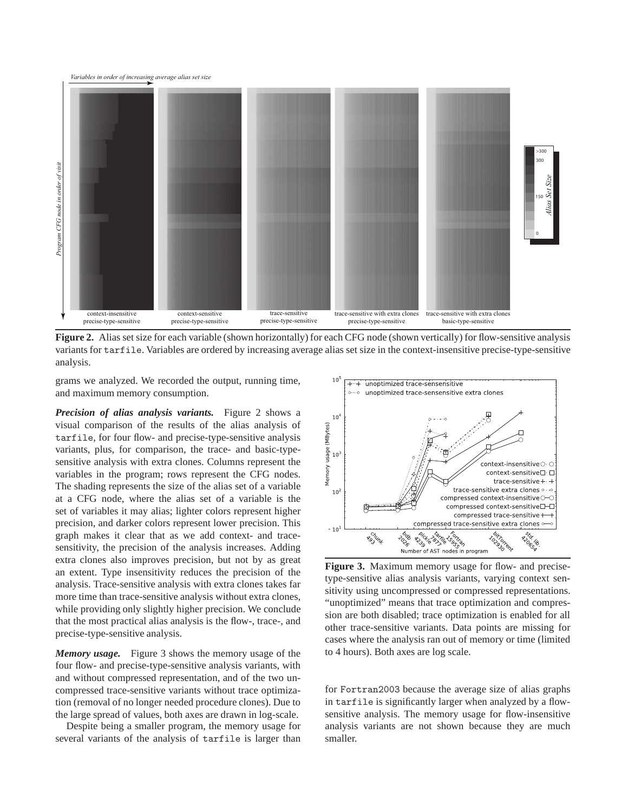*Variables in order of increasing average alias set size*



**Figure 2.** Alias set size for each variable (shown horizontally) for each CFG node (shown vertically) for flow-sensitive analysis variants for tarfile. Variables are ordered by increasing average alias set size in the context-insensitive precise-type-sensitive analysis.

grams we analyzed. We recorded the output, running time, and maximum memory consumption.

*Precision of alias analysis variants.* Figure 2 shows a visual comparison of the results of the alias analysis of tarfile, for four flow- and precise-type-sensitive analysis variants, plus, for comparison, the trace- and basic-typesensitive analysis with extra clones. Columns represent the variables in the program; rows represent the CFG nodes. The shading represents the size of the alias set of a variable at a CFG node, where the alias set of a variable is the set of variables it may alias; lighter colors represent higher precision, and darker colors represent lower precision. This graph makes it clear that as we add context- and tracesensitivity, the precision of the analysis increases. Adding extra clones also improves precision, but not by as great an extent. Type insensitivity reduces the precision of the analysis. Trace-sensitive analysis with extra clones takes far more time than trace-sensitive analysis without extra clones, while providing only slightly higher precision. We conclude that the most practical alias analysis is the flow-, trace-, and precise-type-sensitive analysis.

*Memory usage.* Figure 3 shows the memory usage of the four flow- and precise-type-sensitive analysis variants, with and without compressed representation, and of the two uncompressed trace-sensitive variants without trace optimization (removal of no longer needed procedure clones). Due to the large spread of values, both axes are drawn in log-scale.

Despite being a smaller program, the memory usage for several variants of the analysis of tarfile is larger than



Figure 3. Maximum memory usage for flow- and precisetype-sensitive alias analysis variants, varying context sensitivity using uncompressed or compressed representations. "unoptimized" means that trace optimization and compression are both disabled; trace optimization is enabled for all other trace-sensitive variants. Data points are missing for cases where the analysis ran out of memory or time (limited to 4 hours). Both axes are log scale.

for Fortran2003 because the average size of alias graphs in tarfile is significantly larger when analyzed by a flowsensitive analysis. The memory usage for flow-insensitive analysis variants are not shown because they are much smaller.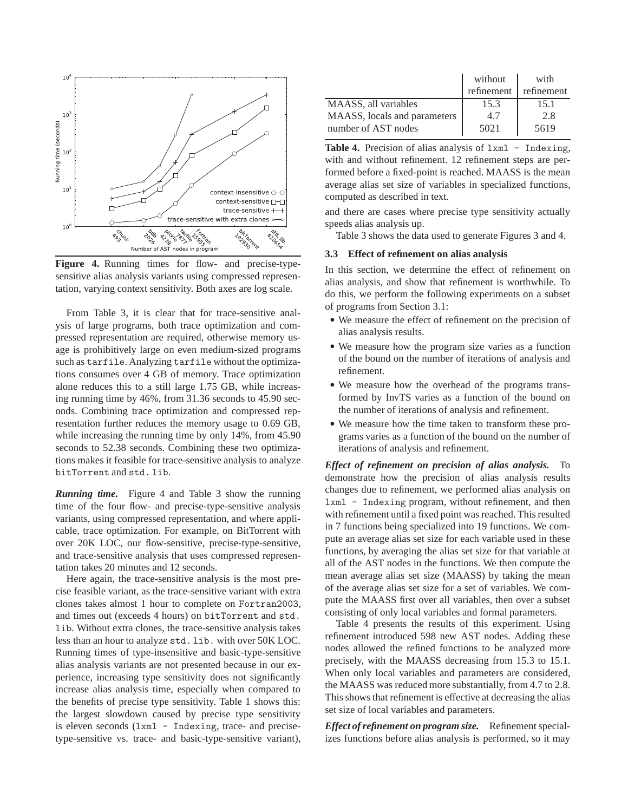

**Figure 4.** Running times for flow- and precise-typesensitive alias analysis variants using compressed representation, varying context sensitivity. Both axes are log scale.

From Table 3, it is clear that for trace-sensitive analysis of large programs, both trace optimization and compressed representation are required, otherwise memory usage is prohibitively large on even medium-sized programs such as tarfile. Analyzing tarfile without the optimizations consumes over 4 GB of memory. Trace optimization alone reduces this to a still large 1.75 GB, while increasing running time by 46%, from 31.36 seconds to 45.90 seconds. Combining trace optimization and compressed representation further reduces the memory usage to 0.69 GB, while increasing the running time by only 14%, from 45.90 seconds to 52.38 seconds. Combining these two optimizations makes it feasible for trace-sensitive analysis to analyze bitTorrent and std. lib.

*Running time.* Figure 4 and Table 3 show the running time of the four flow- and precise-type-sensitive analysis variants, using compressed representation, and where applicable, trace optimization. For example, on BitTorrent with over 20K LOC, our flow-sensitive, precise-type-sensitive, and trace-sensitive analysis that uses compressed representation takes 20 minutes and 12 seconds.

Here again, the trace-sensitive analysis is the most precise feasible variant, as the trace-sensitive variant with extra clones takes almost 1 hour to complete on Fortran2003, and times out (exceeds 4 hours) on bitTorrent and std. lib. Without extra clones, the trace-sensitive analysis takes less than an hour to analyze std. lib. with over 50K LOC. Running times of type-insensitive and basic-type-sensitive alias analysis variants are not presented because in our experience, increasing type sensitivity does not significantly increase alias analysis time, especially when compared to the benefits of precise type sensitivity. Table 1 shows this: the largest slowdown caused by precise type sensitivity is eleven seconds (lxml - Indexing, trace- and precisetype-sensitive vs. trace- and basic-type-sensitive variant),

|                              | without    | with       |
|------------------------------|------------|------------|
|                              | refinement | refinement |
| MAASS, all variables         | 15.3       | 15.1       |
| MAASS, locals and parameters | 4.7        | 2.8        |
| number of AST nodes          | 5021       | 5619       |

Table 4. Precision of alias analysis of  $l$ xml - Indexing, with and without refinement. 12 refinement steps are performed before a fixed-point is reached. MAASS is the mean average alias set size of variables in specialized functions, computed as described in text.

and there are cases where precise type sensitivity actually speeds alias analysis up.

Table 3 shows the data used to generate Figures 3 and 4.

#### **3.3 Effect of refinement on alias analysis**

In this section, we determine the effect of refinement on alias analysis, and show that refinement is worthwhile. To do this, we perform the following experiments on a subset of programs from Section 3.1:

- We measure the effect of refinement on the precision of alias analysis results.
- We measure how the program size varies as a function of the bound on the number of iterations of analysis and refinement.
- We measure how the overhead of the programs transformed by InvTS varies as a function of the bound on the number of iterations of analysis and refinement.
- We measure how the time taken to transform these programs varies as a function of the bound on the number of iterations of analysis and refinement.

*Effect of refinement on precision of alias analysis.* To demonstrate how the precision of alias analysis results changes due to refinement, we performed alias analysis on lxml - Indexing program, without refinement, and then with refinement until a fixed point was reached. This resulted in 7 functions being specialized into 19 functions. We compute an average alias set size for each variable used in these functions, by averaging the alias set size for that variable at all of the AST nodes in the functions. We then compute the mean average alias set size (MAASS) by taking the mean of the average alias set size for a set of variables. We compute the MAASS first over all variables, then over a subset consisting of only local variables and formal parameters.

Table 4 presents the results of this experiment. Using refinement introduced 598 new AST nodes. Adding these nodes allowed the refined functions to be analyzed more precisely, with the MAASS decreasing from 15.3 to 15.1. When only local variables and parameters are considered, the MAASS was reduced more substantially, from 4.7 to 2.8. This shows that refinement is effective at decreasing the alias set size of local variables and parameters.

*Effect of refinement on program size.* Refinement specializes functions before alias analysis is performed, so it may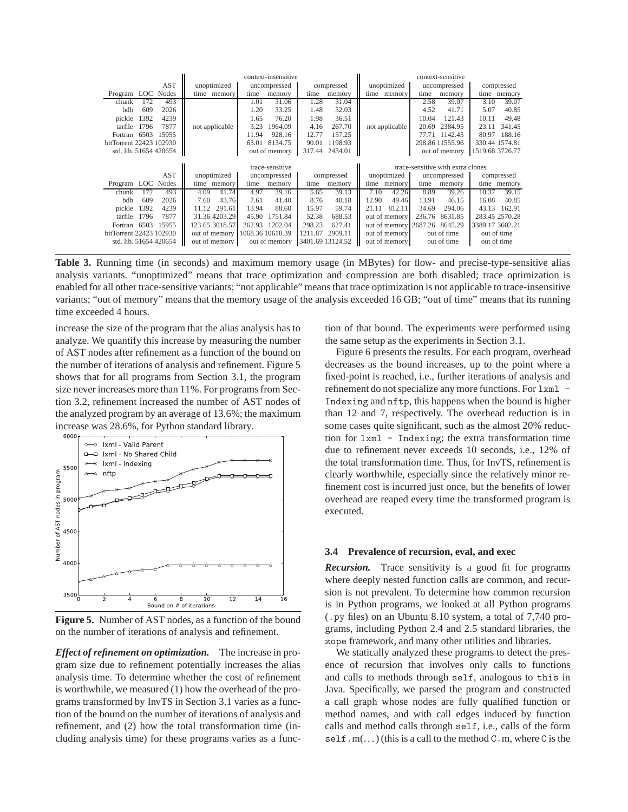|                          |                 | context-insensitive |                    | context-sensitive |                                   |                 |  |  |  |
|--------------------------|-----------------|---------------------|--------------------|-------------------|-----------------------------------|-----------------|--|--|--|
| <b>AST</b>               | unoptimized     | uncompressed        | compressed         | unoptimized       | uncompressed                      | compressed      |  |  |  |
| Program LOC Nodes        | time memory     | time<br>memory      | time<br>memory     | time memory       | time<br>memory                    | time<br>memory  |  |  |  |
| 493<br>172<br>chunk      |                 | 31.06<br>1.01       | 31.04<br>1.28      |                   | 39.07<br>2.58                     | 39.07<br>3.10   |  |  |  |
| 2026<br>bdb<br>609       |                 | 33.25<br>1.20       | 32.03<br>1.48      |                   | 41.71<br>4.52                     | 40.85<br>5.07   |  |  |  |
| 4239<br>1392<br>pickle   |                 | 76.20<br>1.65       | 36.51<br>1.98      |                   | 121.43<br>10.04                   | 49.48<br>10.11  |  |  |  |
| 7877<br>1796<br>tarfile  | not applicable  | 3.23<br>1964.09     | 267.70<br>4.16     | not applicable    | 2384.95<br>20.69                  | 341.45<br>23.11 |  |  |  |
| 15955<br>6503<br>Fortran |                 | 928.16<br>11.94     | 157.25<br>12.77    |                   | 1142.45<br>77.71                  | 188.16<br>80.97 |  |  |  |
| bitTorrent 22423 102930  |                 | 8134.75<br>63.01    | 1198.93<br>90.01   |                   | 298.86 11555.96                   | 330.44 1574.81  |  |  |  |
| std. lib. 51654 420654   |                 | out of memory       | 317.44 2434.01     |                   | out of memory                     | 1519.68 3726.77 |  |  |  |
|                          |                 |                     |                    |                   |                                   |                 |  |  |  |
|                          |                 |                     |                    |                   |                                   |                 |  |  |  |
|                          |                 | trace-sensitive     |                    |                   | trace-sensitive with extra clones |                 |  |  |  |
| <b>AST</b>               | unoptimized     | uncompressed        | compressed         | unoptimized       | uncompressed                      | compressed      |  |  |  |
| Program LOC Nodes        | time memory     | time<br>memory      | time<br>memory     | time memory       | time<br>memory                    | time memory     |  |  |  |
| 172<br>493<br>chunk      | 41.74<br>4.09   | 39.16<br>4.97       | 39.13<br>5.65      | 42.26<br>7.10     | 8.89<br>39.26                     | 39.15<br>10.37  |  |  |  |
| 2026<br>609<br>bdb       | 43.76<br>7.60   | 41.40<br>7.61       | 40.18<br>8.76      | 12.90<br>49.46    | 13.91<br>46.15                    | 40.85<br>16.08  |  |  |  |
| 4239<br>1392<br>pickle   | 11.12<br>291.61 | 88.60<br>13.94      | 15.97<br>59.74     | 812.11<br>21.11   | 34.69<br>294.06                   | 162.91<br>43.13 |  |  |  |
| 7877<br>tarfile<br>1796  | 31.36 4203.29   | 1751.84<br>45.90    | 688.53<br>52.38    | out of memory     | 236.76<br>8631.85                 | 283.45 2570.28  |  |  |  |
| 15955<br>6503<br>Fortran | 123.65 3018.57  | 262.93 1202.04      | 627.41<br>298.23   |                   | out of memory 2687.26 8645.29     | 3389.17 3602.21 |  |  |  |
| bitTorrent 22423 102930  | out of memory   | 1068.36 10618.39    | 2909.11<br>1211.87 | out of memory     | out of time                       | out of time     |  |  |  |

**Table 3.** Running time (in seconds) and maximum memory usage (in MBytes) for flow- and precise-type-sensitive alias analysis variants. "unoptimized" means that trace optimization and compression are both disabled; trace optimization is enabled for all other trace-sensitive variants; "not applicable" means that trace optimization is not applicable to trace-insensitive variants; "out of memory" means that the memory usage of the analysis exceeded 16 GB; "out of time" means that its running time exceeded 4 hours.

increase the size of the program that the alias analysis has to analyze. We quantify this increase by measuring the number of AST nodes after refinement as a function of the bound on the number of iterations of analysis and refinement. Figure 5 shows that for all programs from Section 3.1, the program size never increases more than 11%. For programs from Section 3.2, refinement increased the number of AST nodes of the analyzed program by an average of 13.6%; the maximum increase was 28.6%, for Python standard library.



**Figure 5.** Number of AST nodes, as a function of the bound on the number of iterations of analysis and refinement.

*Effect of refinement on optimization.* The increase in program size due to refinement potentially increases the alias analysis time. To determine whether the cost of refinement is worthwhile, we measured (1) how the overhead of the programs transformed by InvTS in Section 3.1 varies as a function of the bound on the number of iterations of analysis and refinement, and (2) how the total transformation time (including analysis time) for these programs varies as a function of that bound. The experiments were performed using the same setup as the experiments in Section 3.1.

Figure 6 presents the results. For each program, overhead decreases as the bound increases, up to the point where a fixed-point is reached, i.e., further iterations of analysis and refinement do not specialize any more functions. For lxml - Indexing and nftp, this happens when the bound is higher than 12 and 7, respectively. The overhead reduction is in some cases quite significant, such as the almost 20% reduction for lxml - Indexing; the extra transformation time due to refinement never exceeds 10 seconds, i.e., 12% of the total transformation time. Thus, for InvTS, refinement is clearly worthwhile, especially since the relatively minor refinement cost is incurred just once, but the benefits of lower overhead are reaped every time the transformed program is executed.

### **3.4 Prevalence of recursion, eval, and exec**

*Recursion.* Trace sensitivity is a good fit for programs where deeply nested function calls are common, and recursion is not prevalent. To determine how common recursion is in Python programs, we looked at all Python programs (.py files) on an Ubuntu 8.10 system, a total of 7,740 programs, including Python 2.4 and 2.5 standard libraries, the zope framework, and many other utilities and libraries.

We statically analyzed these programs to detect the presence of recursion that involves only calls to functions and calls to methods through self, analogous to this in Java. Specifically, we parsed the program and constructed a call graph whose nodes are fully qualified function or method names, and with call edges induced by function calls and method calls through self, i.e., calls of the form self.m( $\dots$ ) (this is a call to the method C.m, where C is the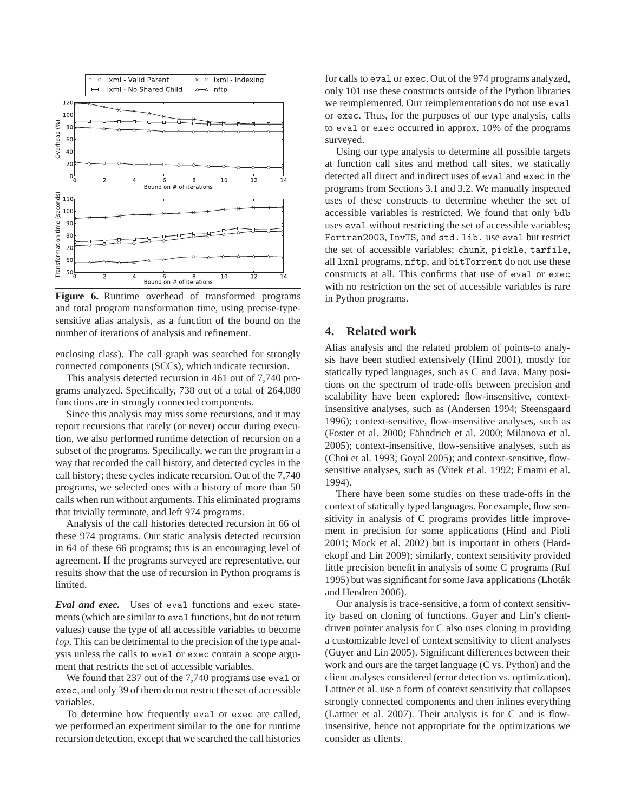

**Figure 6.** Runtime overhead of transformed programs and total program transformation time, using precise-typesensitive alias analysis, as a function of the bound on the number of iterations of analysis and refinement.

enclosing class). The call graph was searched for strongly connected components (SCCs), which indicate recursion.

This analysis detected recursion in 461 out of 7,740 programs analyzed. Specifically, 738 out of a total of 264,080 functions are in strongly connected components.

Since this analysis may miss some recursions, and it may report recursions that rarely (or never) occur during execution, we also performed runtime detection of recursion on a subset of the programs. Specifically, we ran the program in a way that recorded the call history, and detected cycles in the call history; these cycles indicate recursion. Out of the 7,740 programs, we selected ones with a history of more than 50 calls when run without arguments. This eliminated programs that trivially terminate, and left 974 programs.

Analysis of the call histories detected recursion in 66 of these 974 programs. Our static analysis detected recursion in 64 of these 66 programs; this is an encouraging level of agreement. If the programs surveyed are representative, our results show that the use of recursion in Python programs is limited.

*Eval and exec.* Uses of eval functions and exec statements (which are similar to eval functions, but do not return values) cause the type of all accessible variables to become top. This can be detrimental to the precision of the type analysis unless the calls to eval or exec contain a scope argument that restricts the set of accessible variables.

We found that 237 out of the 7,740 programs use eval or exec, and only 39 of them do not restrict the set of accessible variables.

To determine how frequently eval or exec are called, we performed an experiment similar to the one for runtime recursion detection, except that we searched the call histories for calls to eval or exec. Out of the 974 programs analyzed, only 101 use these constructs outside of the Python libraries we reimplemented. Our reimplementations do not use eval or exec. Thus, for the purposes of our type analysis, calls to eval or exec occurred in approx. 10% of the programs surveyed.

Using our type analysis to determine all possible targets at function call sites and method call sites, we statically detected all direct and indirect uses of eval and exec in the programs from Sections 3.1 and 3.2. We manually inspected uses of these constructs to determine whether the set of accessible variables is restricted. We found that only bdb uses eval without restricting the set of accessible variables; Fortran2003, InvTS, and std. lib. use eval but restrict the set of accessible variables; chunk, pickle, tarfile, all lxml programs, nftp, and bitTorrent do not use these constructs at all. This confirms that use of eval or exec with no restriction on the set of accessible variables is rare in Python programs.

# **4. Related work**

Alias analysis and the related problem of points-to analysis have been studied extensively (Hind 2001), mostly for statically typed languages, such as C and Java. Many positions on the spectrum of trade-offs between precision and scalability have been explored: flow-insensitive, contextinsensitive analyses, such as (Andersen 1994; Steensgaard 1996); context-sensitive, flow-insensitive analyses, such as (Foster et al. 2000; Fähndrich et al. 2000; Milanova et al. 2005); context-insensitive, flow-sensitive analyses, such as (Choi et al. 1993; Goyal 2005); and context-sensitive, flowsensitive analyses, such as (Vitek et al. 1992; Emami et al. 1994).

There have been some studies on these trade-offs in the context of statically typed languages. For example, flow sensitivity in analysis of C programs provides little improvement in precision for some applications (Hind and Pioli 2001; Mock et al. 2002) but is important in others (Hardekopf and Lin 2009); similarly, context sensitivity provided little precision benefit in analysis of some C programs (Ruf 1995) but was significant for some Java applications (Lhoták and Hendren 2006).

Our analysis is trace-sensitive, a form of context sensitivity based on cloning of functions. Guyer and Lin's clientdriven pointer analysis for C also uses cloning in providing a customizable level of context sensitivity to client analyses (Guyer and Lin 2005). Significant differences between their work and ours are the target language (C vs. Python) and the client analyses considered (error detection vs. optimization). Lattner et al. use a form of context sensitivity that collapses strongly connected components and then inlines everything (Lattner et al. 2007). Their analysis is for C and is flowinsensitive, hence not appropriate for the optimizations we consider as clients.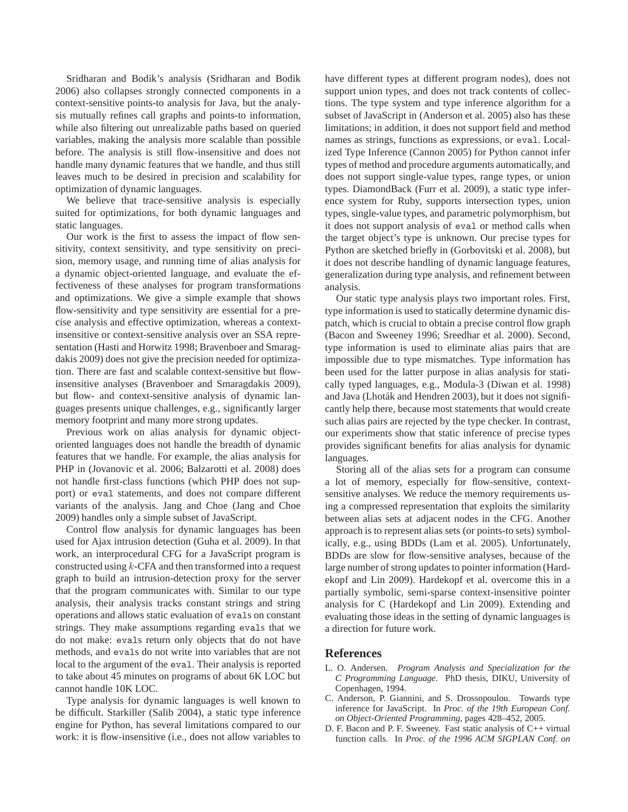Sridharan and Bodik's analysis (Sridharan and Bodik 2006) also collapses strongly connected components in a context-sensitive points-to analysis for Java, but the analysis mutually refines call graphs and points-to information, while also filtering out unrealizable paths based on queried variables, making the analysis more scalable than possible before. The analysis is still flow-insensitive and does not handle many dynamic features that we handle, and thus still leaves much to be desired in precision and scalability for optimization of dynamic languages.

We believe that trace-sensitive analysis is especially suited for optimizations, for both dynamic languages and static languages.

Our work is the first to assess the impact of flow sensitivity, context sensitivity, and type sensitivity on precision, memory usage, and running time of alias analysis for a dynamic object-oriented language, and evaluate the effectiveness of these analyses for program transformations and optimizations. We give a simple example that shows flow-sensitivity and type sensitivity are essential for a precise analysis and effective optimization, whereas a contextinsensitive or context-sensitive analysis over an SSA representation (Hasti and Horwitz 1998; Bravenboer and Smaragdakis 2009) does not give the precision needed for optimization. There are fast and scalable context-sensitive but flowinsensitive analyses (Bravenboer and Smaragdakis 2009), but flow- and context-sensitive analysis of dynamic languages presents unique challenges, e.g., significantly larger memory footprint and many more strong updates.

Previous work on alias analysis for dynamic objectoriented languages does not handle the breadth of dynamic features that we handle. For example, the alias analysis for PHP in (Jovanovic et al. 2006; Balzarotti et al. 2008) does not handle first-class functions (which PHP does not support) or eval statements, and does not compare different variants of the analysis. Jang and Choe (Jang and Choe 2009) handles only a simple subset of JavaScript.

Control flow analysis for dynamic languages has been used for Ajax intrusion detection (Guha et al. 2009). In that work, an interprocedural CFG for a JavaScript program is constructed using k-CFA and then transformed into a request graph to build an intrusion-detection proxy for the server that the program communicates with. Similar to our type analysis, their analysis tracks constant strings and string operations and allows static evaluation of evals on constant strings. They make assumptions regarding evals that we do not make: evals return only objects that do not have methods, and evals do not write into variables that are not local to the argument of the eval. Their analysis is reported to take about 45 minutes on programs of about 6K LOC but cannot handle 10K LOC.

Type analysis for dynamic languages is well known to be difficult. Starkiller (Salib 2004), a static type inference engine for Python, has several limitations compared to our work: it is flow-insensitive (i.e., does not allow variables to have different types at different program nodes), does not support union types, and does not track contents of collections. The type system and type inference algorithm for a subset of JavaScript in (Anderson et al. 2005) also has these limitations; in addition, it does not support field and method names as strings, functions as expressions, or eval. Localized Type Inference (Cannon 2005) for Python cannot infer types of method and procedure arguments automatically, and does not support single-value types, range types, or union types. DiamondBack (Furr et al. 2009), a static type inference system for Ruby, supports intersection types, union types, single-value types, and parametric polymorphism, but it does not support analysis of eval or method calls when the target object's type is unknown. Our precise types for Python are sketched briefly in (Gorbovitski et al. 2008), but it does not describe handling of dynamic language features, generalization during type analysis, and refinement between analysis.

Our static type analysis plays two important roles. First, type information is used to statically determine dynamic dispatch, which is crucial to obtain a precise control flow graph (Bacon and Sweeney 1996; Sreedhar et al. 2000). Second, type information is used to eliminate alias pairs that are impossible due to type mismatches. Type information has been used for the latter purpose in alias analysis for statically typed languages, e.g., Modula-3 (Diwan et al. 1998) and Java (Lhoták and Hendren 2003), but it does not significantly help there, because most statements that would create such alias pairs are rejected by the type checker. In contrast, our experiments show that static inference of precise types provides significant benefits for alias analysis for dynamic languages.

Storing all of the alias sets for a program can consume a lot of memory, especially for flow-sensitive, contextsensitive analyses. We reduce the memory requirements using a compressed representation that exploits the similarity between alias sets at adjacent nodes in the CFG. Another approach is to represent alias sets (or points-to sets) symbolically, e.g., using BDDs (Lam et al. 2005). Unfortunately, BDDs are slow for flow-sensitive analyses, because of the large number of strong updates to pointer information (Hardekopf and Lin 2009). Hardekopf et al. overcome this in a partially symbolic, semi-sparse context-insensitive pointer analysis for C (Hardekopf and Lin 2009). Extending and evaluating those ideas in the setting of dynamic languages is a direction for future work.

## **References**

- L. O. Andersen. *Program Analysis and Specialization for the C Programming Language*. PhD thesis, DIKU, University of Copenhagen, 1994.
- C. Anderson, P. Giannini, and S. Drossopoulou. Towards type inference for JavaScript. In *Proc. of the 19th European Conf. on Object-Oriented Programming*, pages 428–452, 2005.
- D. F. Bacon and P. F. Sweeney. Fast static analysis of C++ virtual function calls. In *Proc. of the 1996 ACM SIGPLAN Conf. on*